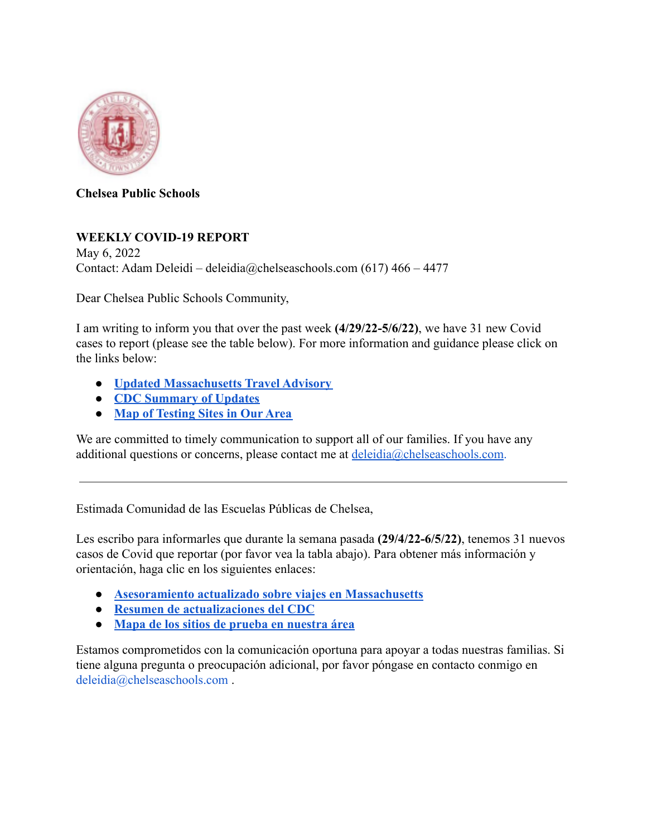

**Chelsea Public Schools**

## **WEEKLY COVID-19 REPORT**

May 6, 2022 Contact: Adam Deleidi – deleidia@chelseaschools.com (617) 466 – 4477

Dear Chelsea Public Schools Community,

I am writing to inform you that over the past week **(4/29/22-5/6/22)**, we have 31 new Covid cases to report (please see the table below). For more information and guidance please click on the links below:

- **● [Updated Massachusetts Travel Advisory](https://urldefense.com/v3/__http://track.spe.schoolmessenger.com/f/a/BSioozpp2gew8uG8DPeHCA**A/AAAAAQA*/RgRiWykYP0Q6aHR0cHM6Ly93d3cubWFzcy5nb3YvaW5mby1kZXRhaWxzL2NvdmlkLTE5LXRyYXZlbC1hZHZpc29yeVcHc2Nob29sbUIKYHmY9Xlg2COepFIUYWRlbGVpZGlAdmVyaXpvbi5uZXRYBAAAAAE*__;fn5-fg!!LAO4uDnPwtiGPg!xRc41Y-D9hB_qzKpCyjtQoTvfCdVlRWOv0sESgDgJlX5fpImQ_XeSWlwjQEe1Jxun2PN$)**
- **● [CDC Summary of Updates](https://urldefense.com/v3/__https://www.cdc.gov/coronavirus/2019-ncov/index.html__;!!LAO4uDnPwtiGPg!xRc41Y-D9hB_qzKpCyjtQoTvfCdVlRWOv0sESgDgJlX5fpImQ_XeSWlwjQEe1CZOJhx3$)**
- **● [Map of Testing Sites in Our](https://urldefense.com/v3/__https://www.mass.gov/info-details/find-a-covid-19-test__;!!LAO4uDnPwtiGPg!xRc41Y-D9hB_qzKpCyjtQoTvfCdVlRWOv0sESgDgJlX5fpImQ_XeSWlwjQEe1F3QiWMa$) Area**

We are committed to timely communication to support all of our families. If you have any additional questions or concerns, please contact me at deleidia@chelseaschools.com.

Estimada Comunidad de las Escuelas Públicas de Chelsea,

Les escribo para informarles que durante la semana pasada **(29/4/22-6/5/22)**, tenemos 31 nuevos casos de Covid que reportar (por favor vea la tabla abajo). Para obtener más información y orientación, haga clic en los siguientes enlaces:

- **● [Asesoramiento actualizado sobre viajes en Massachusetts](https://urldefense.com/v3/__https://www.mass.gov/info-details/covid-19-travel-advisory__;!!LAO4uDnPwtiGPg!xRc41Y-D9hB_qzKpCyjtQoTvfCdVlRWOv0sESgDgJlX5fpImQ_XeSWlwjQEe1Nsn_Sw8$)**
- **● [Resumen de actualizaciones del CDC](https://urldefense.com/v3/__https://www.cdc.gov/coronavirus/2019-ncov/index.html__;!!LAO4uDnPwtiGPg!xRc41Y-D9hB_qzKpCyjtQoTvfCdVlRWOv0sESgDgJlX5fpImQ_XeSWlwjQEe1CZOJhx3$)**
- **● [Mapa de los sitios de prueba en nuestra área](https://urldefense.com/v3/__https://www.mass.gov/info-details/find-a-covid-19-test__;!!LAO4uDnPwtiGPg!xRc41Y-D9hB_qzKpCyjtQoTvfCdVlRWOv0sESgDgJlX5fpImQ_XeSWlwjQEe1F3QiWMa$)**

Estamos comprometidos con la comunicación oportuna para apoyar a todas nuestras familias. Si tiene alguna pregunta o preocupación adicional, por favor póngase en contacto conmigo en deleidia@chelseaschools.com .